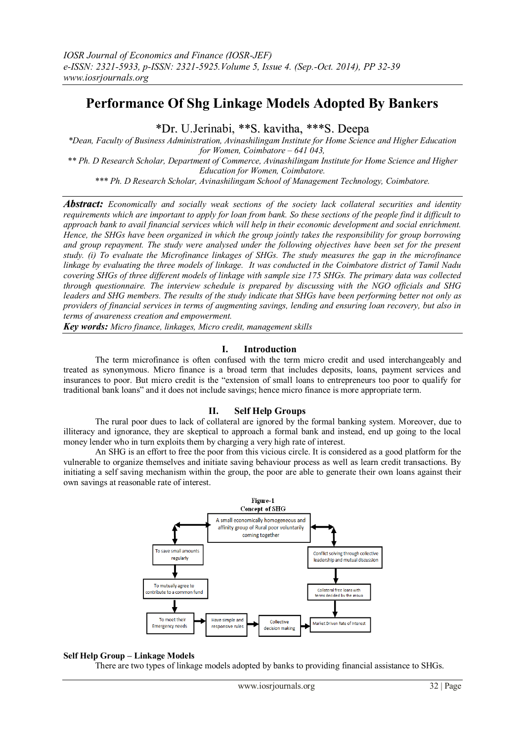# **Performance Of Shg Linkage Models Adopted By Bankers**

\*Dr. U.Jerinabi, \*\*S. kavitha, \*\*\*S. Deepa

*\*Dean, Faculty of Business Administration, Avinashilingam Institute for Home Science and Higher Education for Women, Coimbatore – 641 043,*

*\*\* Ph. D Research Scholar, Department of Commerce, Avinashilingam Institute for Home Science and Higher Education for Women, Coimbatore.*

*\*\*\* Ph. D Research Scholar, Avinashilingam School of Management Technology, Coimbatore.*

*Abstract: Economically and socially weak sections of the society lack collateral securities and identity requirements which are important to apply for loan from bank. So these sections of the people find it difficult to approach bank to avail financial services which will help in their economic development and social enrichment. Hence, the SHGs have been organized in which the group jointly takes the responsibility for group borrowing and group repayment. The study were analysed under the following objectives have been set for the present study. (i) To evaluate the Microfinance linkages of SHGs. The study measures the gap in the microfinance linkage by evaluating the three models of linkage. It was conducted in the Coimbatore district of Tamil Nadu covering SHGs of three different models of linkage with sample size 175 SHGs. The primary data was collected through questionnaire. The interview schedule is prepared by discussing with the NGO officials and SHG leaders and SHG members. The results of the study indicate that SHGs have been performing better not only as providers of financial services in terms of augmenting savings, lending and ensuring loan recovery, but also in terms of awareness creation and empowerment.* 

*Key words: Micro finance, linkages, Micro credit, management skills*

## **I. Introduction**

The term microfinance is often confused with the term micro credit and used interchangeably and treated as synonymous. Micro finance is a broad term that includes deposits, loans, payment services and insurances to poor. But micro credit is the "extension of small loans to entrepreneurs too poor to qualify for traditional bank loans" and it does not include savings; hence micro finance is more appropriate term.

## **II. Self Help Groups**

The rural poor dues to lack of collateral are ignored by the formal banking system. Moreover, due to illiteracy and ignorance, they are skeptical to approach a formal bank and instead, end up going to the local money lender who in turn exploits them by charging a very high rate of interest.

An SHG is an effort to free the poor from this vicious circle. It is considered as a good platform for the vulnerable to organize themselves and initiate saving behaviour process as well as learn credit transactions. By initiating a self saving mechanism within the group, the poor are able to generate their own loans against their own savings at reasonable rate of interest.



## **Self Help Group – Linkage Models**

There are two types of linkage models adopted by banks to providing financial assistance to SHGs.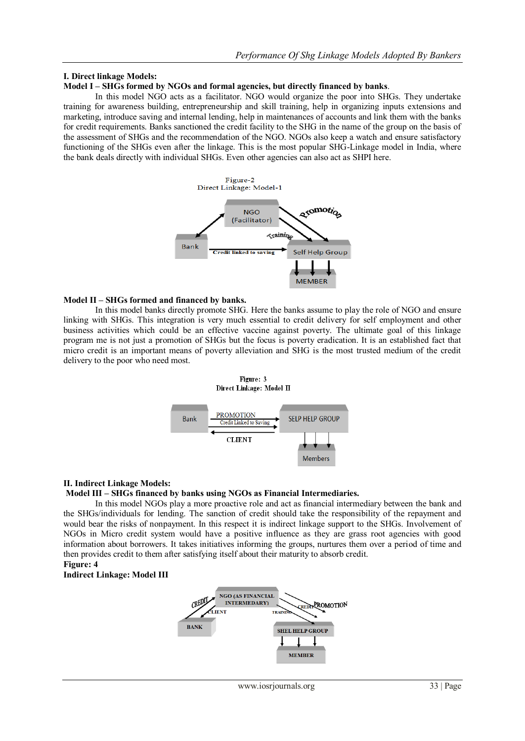# **I. Direct linkage Models:**

## **Model I – SHGs formed by NGOs and formal agencies, but directly financed by banks**.

In this model NGO acts as a facilitator. NGO would organize the poor into SHGs. They undertake training for awareness building, entrepreneurship and skill training, help in organizing inputs extensions and marketing, introduce saving and internal lending, help in maintenances of accounts and link them with the banks for credit requirements. Banks sanctioned the credit facility to the SHG in the name of the group on the basis of the assessment of SHGs and the recommendation of the NGO. NGOs also keep a watch and ensure satisfactory functioning of the SHGs even after the linkage. This is the most popular SHG-Linkage model in India, where the bank deals directly with individual SHGs. Even other agencies can also act as SHPI here.



## **Model II – SHGs formed and financed by banks.**

In this model banks directly promote SHG. Here the banks assume to play the role of NGO and ensure linking with SHGs. This integration is very much essential to credit delivery for self employment and other business activities which could be an effective vaccine against poverty. The ultimate goal of this linkage program me is not just a promotion of SHGs but the focus is poverty eradication. It is an established fact that micro credit is an important means of poverty alleviation and SHG is the most trusted medium of the credit delivery to the poor who need most.



## **II. Indirect Linkage Models:**

#### **Model III – SHGs financed by banks using NGOs as Financial Intermediaries.**

In this model NGOs play a more proactive role and act as financial intermediary between the bank and the SHGs/individuals for lending. The sanction of credit should take the responsibility of the repayment and would bear the risks of nonpayment. In this respect it is indirect linkage support to the SHGs. Involvement of NGOs in Micro credit system would have a positive influence as they are grass root agencies with good information about borrowers. It takes initiatives informing the groups, nurtures them over a period of time and then provides credit to them after satisfying itself about their maturity to absorb credit.

# **Figure: 4**

## **Indirect Linkage: Model III**

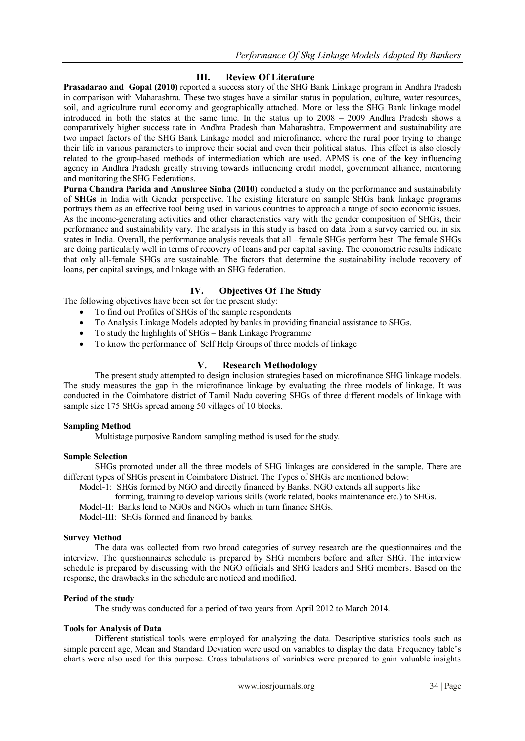## **III. Review Of Literature**

**Prasadarao and Gopal (2010)** reported a success story of the SHG Bank Linkage program in Andhra Pradesh in comparison with Maharashtra. These two stages have a similar status in population, culture, water resources, soil, and agriculture rural economy and geographically attached. More or less the SHG Bank linkage model introduced in both the states at the same time. In the status up to 2008 – 2009 Andhra Pradesh shows a comparatively higher success rate in Andhra Pradesh than Maharashtra. Empowerment and sustainability are two impact factors of the SHG Bank Linkage model and microfinance, where the rural poor trying to change their life in various parameters to improve their social and even their political status. This effect is also closely related to the group-based methods of intermediation which are used. APMS is one of the key influencing agency in Andhra Pradesh greatly striving towards influencing credit model, government alliance, mentoring and monitoring the SHG Federations.

**Purna Chandra Parida and Anushree Sinha (2010)** conducted a study on the performance and sustainability of **SHGs** in India with Gender perspective. The existing literature on sample SHGs bank linkage programs portrays them as an effective tool being used in various countries to approach a range of socio economic issues. As the income-generating activities and other characteristics vary with the gender composition of SHGs, their performance and sustainability vary. The analysis in this study is based on data from a survey carried out in six states in India. Overall, the performance analysis reveals that all –female SHGs perform best. The female SHGs are doing particularly well in terms of recovery of loans and per capital saving. The econometric results indicate that only all-female SHGs are sustainable. The factors that determine the sustainability include recovery of loans, per capital savings, and linkage with an SHG federation.

## **IV. Objectives Of The Study**

The following objectives have been set for the present study:

- To find out Profiles of SHGs of the sample respondents
- To Analysis Linkage Models adopted by banks in providing financial assistance to SHGs.
- To study the highlights of SHGs Bank Linkage Programme
- To know the performance of Self Help Groups of three models of linkage

## **V. Research Methodology**

The present study attempted to design inclusion strategies based on microfinance SHG linkage models. The study measures the gap in the microfinance linkage by evaluating the three models of linkage. It was conducted in the Coimbatore district of Tamil Nadu covering SHGs of three different models of linkage with sample size 175 SHGs spread among 50 villages of 10 blocks.

#### **Sampling Method**

Multistage purposive Random sampling method is used for the study.

#### **Sample Selection**

SHGs promoted under all the three models of SHG linkages are considered in the sample. There are different types of SHGs present in Coimbatore District. The Types of SHGs are mentioned below:

Model-1: SHGs formed by NGO and directly financed by Banks. NGO extends all supports like

forming, training to develop various skills (work related, books maintenance etc.) to SHGs.

Model-II: Banks lend to NGOs and NGOs which in turn finance SHGs.

Model-III: SHGs formed and financed by banks.

#### **Survey Method**

The data was collected from two broad categories of survey research are the questionnaires and the interview. The questionnaires schedule is prepared by SHG members before and after SHG. The interview schedule is prepared by discussing with the NGO officials and SHG leaders and SHG members. Based on the response, the drawbacks in the schedule are noticed and modified.

## **Period of the study**

The study was conducted for a period of two years from April 2012 to March 2014.

#### **Tools for Analysis of Data**

Different statistical tools were employed for analyzing the data. Descriptive statistics tools such as simple percent age, Mean and Standard Deviation were used on variables to display the data. Frequency table"s charts were also used for this purpose. Cross tabulations of variables were prepared to gain valuable insights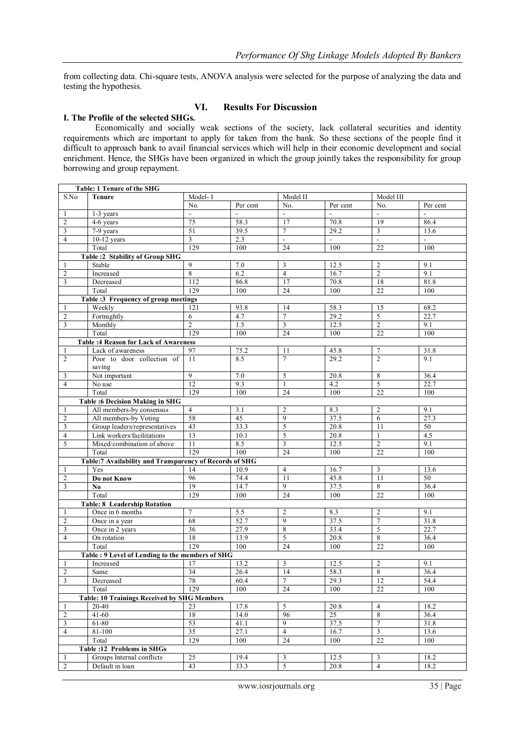from collecting data. Chi-square tests, ANOVA analysis were selected for the purpose of analyzing the data and testing the hypothesis.

## **VI. Results For Discussion**

## **I. The Profile of the selected SHGs.**

Economically and socially weak sections of the society, lack collateral securities and identity requirements which are important to apply for taken from the bank. So these sections of the people find it difficult to approach bank to avail financial services which will help in their economic development and social enrichment. Hence, the SHGs have been organized in which the group jointly takes the responsibility for group borrowing and group repayment.

| Table: 1 Tenure of the SHG |                                                         |                       |              |                         |                |                          |                          |
|----------------------------|---------------------------------------------------------|-----------------------|--------------|-------------------------|----------------|--------------------------|--------------------------|
| S.No                       | <b>Tenure</b>                                           | Model-I               |              | Model II                |                | Model III                |                          |
|                            |                                                         | No.                   | Per cent     | No.                     | Per cent       | No.                      | Per cent                 |
| 1                          | 1-3 years                                               | $\mathbf{r}$          | $\mathbf{r}$ | $\Box$                  | $\mathbb{L}$   | $\mathbf{r}$             | $\mathbb{L}^2$           |
| $\overline{2}$             | 4-6 years                                               | 75                    | 58.3         | 17                      | 70.8           | 19                       | 86.4                     |
| 3                          | 7-9 years                                               | 51                    | 39.5         | $\overline{7}$          | 29.2           | 3                        | 13.6                     |
| $\overline{4}$             | $10-12$ years                                           | 3                     | 2.3          | $\overline{a}$          | $\blacksquare$ | $\overline{\phantom{a}}$ | $\overline{\phantom{a}}$ |
|                            | Total                                                   | 129                   | 100          | 24                      | 100            | 22                       | 100                      |
|                            | <b>Table :2 Stability of Group SHG</b>                  |                       |              |                         |                |                          |                          |
| 1                          | Stable                                                  | 9                     | 7.0          | 3                       | 12.5           | $\overline{2}$           | 9.1                      |
| $\overline{c}$             | Increased                                               | 8                     | 6.2          | $\overline{4}$          | 16.7           | $\overline{c}$           | 9.1                      |
| 3                          | Decreased                                               | 112                   | 86.8         | 17                      | 70.8           | 18                       | 81.8                     |
|                            | Total                                                   | 129                   | 100          | 24                      | 100            | 22                       | 100                      |
|                            | Table :3 Frequency of group meetings                    | 121                   |              |                         |                |                          | 68.2                     |
| 1                          | Weekly                                                  |                       | 93.8<br>4.7  | 14<br>$\tau$            | 58.3<br>29.2   | 15<br>5                  | 22.7                     |
| $\overline{2}$<br>3        | Fortnightly<br>Monthly                                  | 6<br>$\overline{2}$   | 1.5          | 3                       | 12.5           | $\overline{2}$           | 9.1                      |
|                            | Total                                                   | 129                   | 100          | 24                      | 100            | 22                       | 100                      |
|                            | <b>Table :4 Reason for Lack of Awareness</b>            |                       |              |                         |                |                          |                          |
| 1                          | Lack of awareness                                       | 97                    | 75.2         | 11                      | 45.8           | 7                        | 31.8                     |
| $\overline{2}$             | Poor to door collection of                              | 11                    | 8.5          | $\overline{7}$          | 29.2           | $\overline{2}$           | 9.1                      |
|                            | saving                                                  |                       |              |                         |                |                          |                          |
| 3                          | Not important                                           | 9                     | $7.0\,$      | 5                       | 20.8           | $\overline{8}$           | 36.4                     |
| 4                          | No use                                                  | 12                    | 9.3          | 1                       | 4.2            | 5                        | 22.7                     |
|                            | Total                                                   | 129                   | 100          | 24                      | 100            | $\overline{22}$          | 100                      |
|                            | <b>Table :6 Decision Making in SHG</b>                  |                       |              |                         |                |                          |                          |
| 1                          | All members-by consensus                                | $\overline{4}$        | 3.1          | $\overline{c}$          | 8.3            | $\overline{2}$           | 9.1                      |
| $\overline{2}$             | All members-by Voting                                   | 58                    | 45           | $\overline{9}$          | 37.5           | 6                        | 27.3                     |
| $\mathfrak{Z}$             | Group leaders/representatives                           | 43                    | 33.3         | 5                       | 20.8           | 11                       | $50\,$                   |
| $\overline{4}$             | Link workers/facilitations                              | 13                    | 10.1         | 5                       | 20.8           | $\mathbf{1}$             | 4.5                      |
| 5                          | Mixed/combination of above                              | 11                    | 8.5          | $\overline{3}$          | 12.5           | $\overline{2}$           | 9.1                      |
|                            | Total                                                   | 129                   | 100          | 24                      | 100            | 22                       | 100                      |
|                            | Table:7 Availability and Transparency of Records of SHG |                       |              |                         |                |                          |                          |
| 1                          | Yes                                                     | 14                    | 10.9         | $\overline{4}$          | 16.7           | 3                        | 13.6                     |
| $\overline{2}$             | Do not Know                                             | 96                    | 74.4         | 11                      | 45.8           | 11                       | 50                       |
| 3                          | $\mathbf{N}\mathbf{0}$                                  | 19                    | 14.7         | 9                       | 37.5           | $\overline{8}$           | 36.4                     |
|                            | Total                                                   | 129                   | 100          | 24                      | 100            | 22                       | 100                      |
|                            | <b>Table: 8 Leadership Rotation</b>                     |                       |              |                         |                |                          |                          |
| 1                          | Once in 6 months                                        | $\overline{7}$        | 5.5          | $\overline{2}$          | 8.3            | $\overline{2}$           | 9.1                      |
| $\overline{2}$             | Once in a year                                          | 68                    | 52.7         | 9                       | 37.5           | $\overline{7}$           | 31.8                     |
| 3                          | Once in 2 years                                         | $\overline{36}$<br>18 | 27.9         | $\overline{8}$<br>5     | 33.4           | 5                        | 22.7                     |
| $\overline{4}$             | On rotation<br>Total                                    | 129                   | 13.9<br>100  | 24                      | 20.8<br>100    | 8<br>22                  | 36.4<br>100              |
|                            | Table : 9 Level of Lending to the members of SHG        |                       |              |                         |                |                          |                          |
| 1                          | Increased                                               | 17                    | 13.2         | 3                       | 12.5           | $\overline{2}$           | 9.1                      |
| $\overline{2}$             | Same                                                    | 34                    | 26.4         | 14                      | 58.3           | 8                        | 36.4                     |
| 3                          | Decreased                                               | 78                    | 60.4         | $\boldsymbol{7}$        | 29.3           | 12                       | 54.4                     |
|                            | Total                                                   | 129                   | 100          | $\overline{24}$         | 100            | $\overline{22}$          | 100                      |
|                            | <b>Table: 10 Trainings Received by SHG Members</b>      |                       |              |                         |                |                          |                          |
| 1                          | $20 - 40$                                               | 23                    | 17.8         | 5                       | 20.8           | $\overline{4}$           | 18.2                     |
| $\overline{c}$             | $41 - 60$                                               | 18                    | 14.0         | 96                      | 25             | $\boldsymbol{8}$         | 36.4                     |
| $\mathfrak{Z}$             | 61-80                                                   | 53                    | 41.1         | $\overline{9}$          | 37.5           | $\overline{7}$           | 31.8                     |
| $\overline{4}$             | 81-100                                                  | 35                    | 27.1         | $\overline{4}$          | 16.7           | $\mathfrak{Z}$           | 13.6                     |
|                            | Total                                                   | 129                   | 100          | $\overline{24}$         | 100            | $\overline{22}$          | 100                      |
|                            | Table : 12 Problems in SHGs                             |                       |              |                         |                |                          |                          |
| 1                          | Groups Internal conflicts                               | 25                    | 19.4         | $\overline{\mathbf{3}}$ | 12.5           | 3                        | 18.2                     |
| $\overline{2}$             | Default in loan                                         | 43                    | 33.3         | 5                       | 20.8           | $\overline{4}$           | 18.2                     |
|                            |                                                         |                       |              |                         |                |                          |                          |

www.iosrjournals.org 35 | Page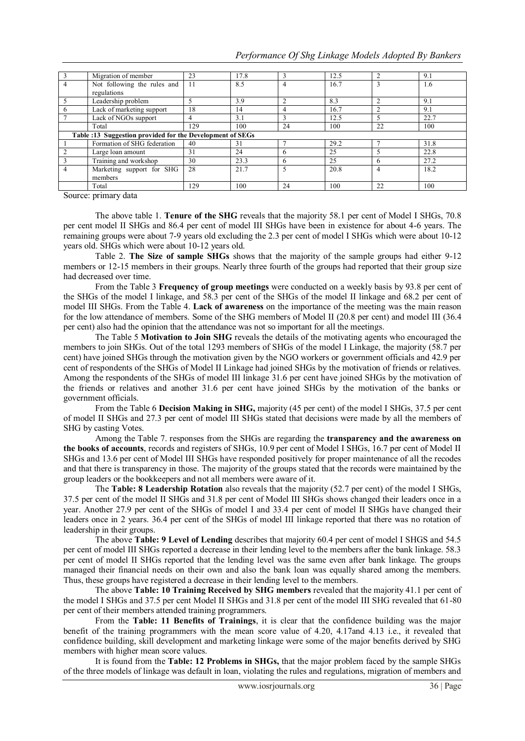| Performance Of Shg Linkage Models Adopted By Bankers |  |  |  |
|------------------------------------------------------|--|--|--|
|                                                      |  |  |  |

|   | Migration of member                                       | 23  | 17.8 |    | 12.5 |              | 9.1  |
|---|-----------------------------------------------------------|-----|------|----|------|--------------|------|
|   | Not following the rules and<br>regulations                | 11  | 8.5  | 4  | 16.7 |              | 1.6  |
|   | Leadership problem                                        |     | 3.9  |    | 8.3  |              | 9.1  |
| 6 | Lack of marketing support                                 | 18  | 14   | 4  | 16.7 |              | 9.1  |
|   | Lack of NGOs support                                      | 4   | 3.1  |    | 12.5 |              | 22.7 |
|   | Total                                                     | 129 | 100  | 24 | 100  | 22           | 100  |
|   | Table :13 Suggestion provided for the Development of SEGs |     |      |    |      |              |      |
|   | Formation of SHG federation                               | 40  | 31   |    | 29.2 |              | 31.8 |
|   | Large loan amount                                         | 31  | 24   | h  | 25   |              | 22.8 |
|   | Training and workshop                                     | 30  | 23.3 | 6  | 25   | <sub>6</sub> | 27.2 |
|   | Marketing support for SHG<br>members                      | 28  | 21.7 | 5  | 20.8 | 4            | 18.2 |
|   | Total                                                     | 129 | 100  | 24 | 100  | 22           | 100  |

Source: primary data

The above table 1. **Tenure of the SHG** reveals that the majority 58.1 per cent of Model I SHGs, 70.8 per cent model II SHGs and 86.4 per cent of model III SHGs have been in existence for about 4-6 years. The remaining groups were about 7-9 years old excluding the 2.3 per cent of model I SHGs which were about 10-12 years old. SHGs which were about 10-12 years old.

Table 2. **The Size of sample SHGs** shows that the majority of the sample groups had either 9-12 members or 12-15 members in their groups. Nearly three fourth of the groups had reported that their group size had decreased over time.

From the Table 3 **Frequency of group meetings** were conducted on a weekly basis by 93.8 per cent of the SHGs of the model I linkage, and 58.3 per cent of the SHGs of the model II linkage and 68.2 per cent of model III SHGs. From the Table 4. **Lack of awareness** on the importance of the meeting was the main reason for the low attendance of members. Some of the SHG members of Model II (20.8 per cent) and model III (36.4 per cent) also had the opinion that the attendance was not so important for all the meetings.

The Table 5 **Motivation to Join SHG** reveals the details of the motivating agents who encouraged the members to join SHGs. Out of the total 1293 members of SHGs of the model I Linkage, the majority (58.7 per cent) have joined SHGs through the motivation given by the NGO workers or government officials and 42.9 per cent of respondents of the SHGs of Model II Linkage had joined SHGs by the motivation of friends or relatives. Among the respondents of the SHGs of model III linkage 31.6 per cent have joined SHGs by the motivation of the friends or relatives and another 31.6 per cent have joined SHGs by the motivation of the banks or government officials.

From the Table 6 **Decision Making in SHG,** majority (45 per cent) of the model I SHGs, 37.5 per cent of model II SHGs and 27.3 per cent of model III SHGs stated that decisions were made by all the members of SHG by casting Votes.

Among the Table 7. responses from the SHGs are regarding the **transparency and the awareness on the books of accounts**, records and registers of SHGs, 10.9 per cent of Model I SHGs, 16.7 per cent of Model II SHGs and 13.6 per cent of Model III SHGs have responded positively for proper maintenance of all the recodes and that there is transparency in those. The majority of the groups stated that the records were maintained by the group leaders or the bookkeepers and not all members were aware of it.

The **Table: 8 Leadership Rotation** also reveals that the majority (52.7 per cent) of the model I SHGs, 37.5 per cent of the model II SHGs and 31.8 per cent of Model III SHGs shows changed their leaders once in a year. Another 27.9 per cent of the SHGs of model I and 33.4 per cent of model II SHGs have changed their leaders once in 2 years. 36.4 per cent of the SHGs of model III linkage reported that there was no rotation of leadership in their groups.

The above **Table: 9 Level of Lending** describes that majority 60.4 per cent of model I SHGS and 54.5 per cent of model III SHGs reported a decrease in their lending level to the members after the bank linkage. 58.3 per cent of model II SHGs reported that the lending level was the same even after bank linkage. The groups managed their financial needs on their own and also the bank loan was equally shared among the members. Thus, these groups have registered a decrease in their lending level to the members.

The above **Table: 10 Training Received by SHG members** revealed that the majority 41.1 per cent of the model I SHGs and 37.5 per cent Model II SHGs and 31.8 per cent of the model III SHG revealed that 61-80 per cent of their members attended training programmers.

From the **Table: 11 Benefits of Trainings**, it is clear that the confidence building was the major benefit of the training programmers with the mean score value of 4.20, 4.17and 4.13 i.e., it revealed that confidence building, skill development and marketing linkage were some of the major benefits derived by SHG members with higher mean score values.

It is found from the **Table: 12 Problems in SHGs,** that the major problem faced by the sample SHGs of the three models of linkage was default in loan, violating the rules and regulations, migration of members and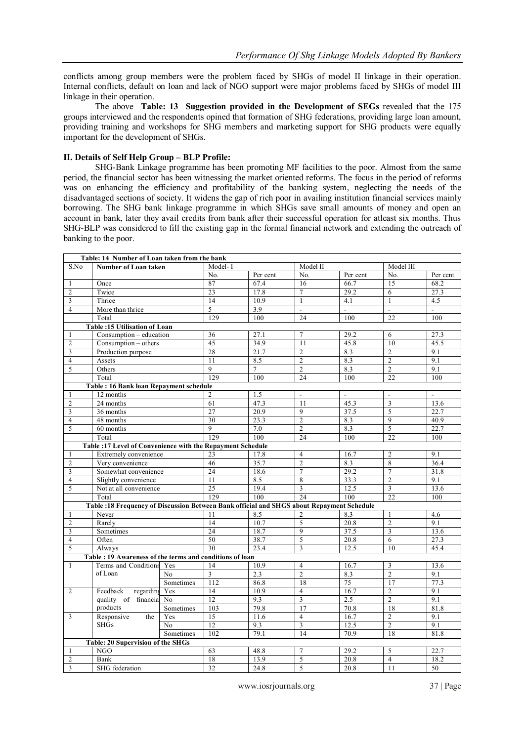conflicts among group members were the problem faced by SHGs of model II linkage in their operation. Internal conflicts, default on loan and lack of NGO support were major problems faced by SHGs of model III linkage in their operation.

The above **Table: 13 Suggestion provided in the Development of SEGs** revealed that the 175 groups interviewed and the respondents opined that formation of SHG federations, providing large loan amount, providing training and workshops for SHG members and marketing support for SHG products were equally important for the development of SHGs.

#### **II. Details of Self Help Group – BLP Profile:**

SHG-Bank Linkage programme has been promoting MF facilities to the poor. Almost from the same period, the financial sector has been witnessing the market oriented reforms. The focus in the period of reforms was on enhancing the efficiency and profitability of the banking system, neglecting the needs of the disadvantaged sections of society. It widens the gap of rich poor in availing institution financial services mainly borrowing. The SHG bank linkage programme in which SHGs save small amounts of money and open an account in bank, later they avail credits from bank after their successful operation for atleast six months. Thus SHG-BLP was considered to fill the existing gap in the formal financial network and extending the outreach of banking to the poor.

|                         | Table: 14 Number of Loan taken from the bank                                              |                |                 |                |                 |              |                          |                |
|-------------------------|-------------------------------------------------------------------------------------------|----------------|-----------------|----------------|-----------------|--------------|--------------------------|----------------|
| S.No                    | <b>Number of Loan taken</b>                                                               |                | Model-I         |                | Model II        |              | Model III                |                |
|                         |                                                                                           |                | No.             | Per cent       | No.             | Per cent     | No.                      | Per cent       |
| -1                      | Once                                                                                      |                | 87              | 67.4           | 16              | 66.7         | 15                       | 68.2           |
| $\overline{2}$          | Twice                                                                                     |                | $\overline{23}$ | 17.8           | $\overline{7}$  | 29.2         | 6                        | 27.3           |
| 3                       | Thrice                                                                                    |                | 14              | 10.9           | $\mathbf{1}$    | 4.1          | $\mathbf{1}$             | 4.5            |
| $\overline{4}$          | More than thrice                                                                          |                | 5               | 3.9            | $\mathbf{L}$    | $\mathbf{r}$ | $\overline{\phantom{a}}$ | $\overline{a}$ |
|                         | Total                                                                                     |                | 129             | 100            | 24              | 100          | 22                       | 100            |
|                         | Table: 15 Utilisation of Loan                                                             |                |                 |                |                 |              |                          |                |
| $\mathbf{1}$            | Consumption - education                                                                   |                | 36              | 27.1           | 7               | 29.2         | 6                        | 27.3           |
| $\overline{2}$          | $Consumption - others$                                                                    |                | 45              | 34.9           | 11              | 45.8         | 10                       | 45.5           |
| 3                       | Production purpose                                                                        |                | 28              | 21.7           | $\overline{c}$  | 8.3          | $\overline{2}$           | 9.1            |
| $\overline{4}$          | Assets                                                                                    |                | 11              | 8.5            | $\overline{2}$  | 8.3          | $\overline{2}$           | 9.1            |
| 5                       | Others                                                                                    |                | $\overline{9}$  | $\overline{7}$ | $\overline{2}$  | 8.3          | $\overline{2}$           | 9.1            |
|                         | Total                                                                                     |                | 129             | 100            | 24              | 100          | 22                       | 100            |
|                         | Table: 16 Bank loan Repayment schedule                                                    |                |                 |                |                 |              |                          |                |
| 1                       | 12 months                                                                                 |                | 2               | 1.5            | $\overline{a}$  | $\mathbb{L}$ | $\overline{\phantom{a}}$ | $\overline{a}$ |
| $\overline{c}$          | 24 months                                                                                 |                | 61              | 47.3           | 11              | 45.3         | 3                        | 13.6           |
| 3                       | 36 months                                                                                 |                | 27              | 20.9           | 9               | 37.5         | 5                        | 22.7           |
| $\overline{4}$          | $\overline{48}$ months                                                                    |                | 30              | 23.3           | $\overline{2}$  | 8.3          | $\mathbf{Q}$             | 40.9           |
| 5                       | 60 months                                                                                 |                | 9               | 7.0            | $\overline{2}$  | 8.3          | 5                        | 22.7           |
|                         | Total                                                                                     |                | 129             | 100            | $\overline{24}$ | 100          | 22                       | 100            |
|                         | Table :17 Level of Convenience with the Repayment Schedule                                |                |                 |                |                 |              |                          |                |
| 1                       | Extremely convenience                                                                     |                | 23              | 17.8           | $\overline{4}$  | 16.7         | $\overline{2}$           | 9.1            |
| $\overline{2}$          | Very convenience                                                                          |                | 46              | 35.7           | $\overline{2}$  | 8.3          | 8                        | 36.4           |
| $\overline{\mathbf{3}}$ | Somewhat convenience                                                                      |                | 24              | 18.6           | $\overline{7}$  | 29.2         | $\overline{7}$           | 31.8           |
| $\overline{4}$          | Slightly convenience                                                                      |                | 11              | 8.5            | $\,8\,$         | 33.3         | $\overline{c}$           | 9.1            |
| 5                       | Not at all convenience                                                                    |                | 25              | 19.4           | $\overline{3}$  | 12.5         | $\overline{3}$           | 13.6           |
|                         | Total                                                                                     |                | 129             | 100            | $\overline{24}$ | 100          | 22                       | 100            |
|                         | Table :18 Frequency of Discussion Between Bank official and SHGS about Repayment Schedule |                |                 |                |                 |              |                          |                |
| $\mathbf{1}$            | Never                                                                                     |                | 11              | 8.5            | $\overline{c}$  | 8.3          | $\mathbf{1}$             | 4.6            |
| $\overline{2}$          | Rarely                                                                                    |                | 14              | 10.7           | $\overline{5}$  | 20.8         | $\overline{2}$           | 9.1            |
| 3                       | Sometimes                                                                                 |                | 24              | 18.7           | 9               | 37.5         | 3                        | 13.6           |
| $\overline{4}$          | Often                                                                                     |                | 50              | 38.7           | 5               | 20.8         | 6                        | 27.3           |
| 5                       | Always                                                                                    |                | 30              | 23.4           | 3               | 12.5         | 10                       | 45.4           |
|                         | Table: 19 Awareness of the terms and conditions of loan                                   |                |                 |                |                 |              |                          |                |
| $\mathbf{1}$            | Terms and Conditions Yes                                                                  |                | 14              | 10.9           | $\overline{4}$  | 16.7         | 3                        | 13.6           |
|                         | of Loan                                                                                   | No             | $\overline{3}$  | 2.3            | $\overline{2}$  | 8.3          | $\overline{2}$           | 9.1            |
|                         |                                                                                           | Sometimes      | 112             | 86.8           | 18              | 75           | 17                       | 77.3           |
| $\overline{2}$          | Feedback<br>regarding Yes                                                                 |                | 14              | 10.9           | $\overline{4}$  | 16.7         | $\overline{c}$           | 9.1            |
|                         | quality of financia No                                                                    |                | 12              | 9.3            | $\overline{3}$  | 2.5          | $\overline{2}$           | 9.1            |
|                         | products                                                                                  | Sometimes      | 103             | 79.8           | 17              | 70.8         | 18                       | 81.8           |
| 3                       | Responsive<br>the                                                                         | Yes            | 15              | 11.6           | $\overline{4}$  | 16.7         | $\overline{c}$           | 9.1            |
|                         | <b>SHGs</b>                                                                               | N <sub>0</sub> | 12              | 9.3            | $\overline{3}$  | 12.5         | $\overline{2}$           | 9.1            |
|                         |                                                                                           | Sometimes      | 102             | 79.1           | $\overline{14}$ | 70.9         | 18                       | 81.8           |
|                         | <b>Table: 20 Supervision of the SHGs</b>                                                  |                |                 |                |                 |              |                          |                |
| -1                      | <b>NGO</b>                                                                                |                | 63              | 48.8           | $\tau$          | 29.2         | 5                        | 22.7           |
| $\overline{c}$          | Bank                                                                                      |                | 18              | 13.9           | $\overline{5}$  | 20.8         | $\overline{4}$           | 18.2           |
| $\overline{\mathbf{3}}$ | SHG federation                                                                            |                | $\overline{32}$ | 24.8           | 5               | 20.8         | 11                       | 50             |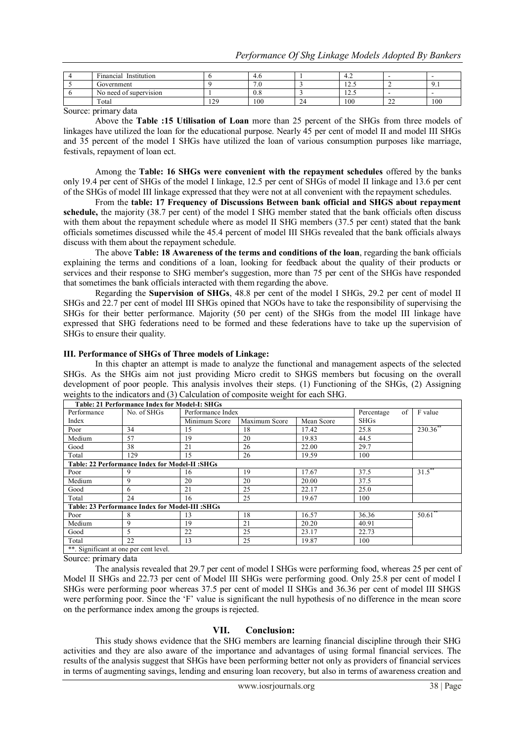| $\sim$<br>Institution<br>Financial |     | -4.U                     |             | т. -   | -           | -   |
|------------------------------------|-----|--------------------------|-------------|--------|-------------|-----|
| Government                         |     | $\sim$ $\sim$<br>$\cdot$ |             | ن که ۱ |             | .   |
| No need of supervision             |     | 0.8                      |             | ن که ۱ |             |     |
| Total                              | 129 | 100                      | $\sim$<br>∽ | 100    | $\sim$<br>∸ | 100 |

Source: primary data

Above the **Table :15 Utilisation of Loan** more than 25 percent of the SHGs from three models of linkages have utilized the loan for the educational purpose. Nearly 45 per cent of model II and model III SHGs and 35 percent of the model I SHGs have utilized the loan of various consumption purposes like marriage, festivals, repayment of loan ect.

Among the **Table: 16 SHGs were convenient with the repayment schedules** offered by the banks only 19.4 per cent of SHGs of the model I linkage, 12.5 per cent of SHGs of model II linkage and 13.6 per cent of the SHGs of model III linkage expressed that they were not at all convenient with the repayment schedules.

From the **table: 17 Frequency of Discussions Between bank official and SHGS about repayment schedule,** the majority (38.7 per cent) of the model I SHG member stated that the bank officials often discuss with them about the repayment schedule where as model II SHG members (37.5 per cent) stated that the bank officials sometimes discussed while the 45.4 percent of model III SHGs revealed that the bank officials always discuss with them about the repayment schedule.

The above **Table: 18 Awareness of the terms and conditions of the loan**, regarding the bank officials explaining the terms and conditions of a loan, looking for feedback about the quality of their products or services and their response to SHG member's suggestion, more than 75 per cent of the SHGs have responded that sometimes the bank officials interacted with them regarding the above.

Regarding the **Supervision of SHGs**, 48.8 per cent of the model I SHGs, 29.2 per cent of model II SHGs and 22.7 per cent of model III SHGs opined that NGOs have to take the responsibility of supervising the SHGs for their better performance. Majority (50 per cent) of the SHGs from the model III linkage have expressed that SHG federations need to be formed and these federations have to take up the supervision of SHGs to ensure their quality.

#### **III. Performance of SHGs of Three models of Linkage:**

In this chapter an attempt is made to analyze the functional and management aspects of the selected SHGs. As the SHGs aim not just providing Micro credit to SHGS members but focusing on the overall development of poor people. This analysis involves their steps. (1) Functioning of the SHGs, (2) Assigning weights to the indicators and (3) Calculation of composite weight for each SHG.

|                                        | Table: 21 Performance Index for Model-I: SHGs    |                   |               |            |                  |            |
|----------------------------------------|--------------------------------------------------|-------------------|---------------|------------|------------------|------------|
| Performance                            | No. of SHGs                                      | Performance Index |               |            | of<br>Percentage | F value    |
| Index                                  |                                                  | Minimum Score     | Maximum Score | Mean Score | <b>SHGs</b>      |            |
| Poor                                   | 34                                               | 15                | 18            | 17.42      | 25.8             | 230.36     |
| Medium                                 | 57                                               | 19                | 20            | 19.83      | 44.5             |            |
| Good                                   | 38                                               | 21                | 26            | 22.00      | 29.7             |            |
| Total                                  | 129                                              | 15                | 26            | 19.59      | 100              |            |
|                                        | Table: 22 Performance Index for Model-II :SHGs   |                   |               |            |                  |            |
| Poor                                   | 9                                                | 16                | 19            | 17.67      | 37.5             | $31.5***$  |
| Medium                                 | 9                                                | 20                | 20            | 20.00      | 37.5             |            |
| Good                                   | 6                                                | 21                | 25            | 22.17      | 25.0             |            |
| Total                                  | 24                                               | 16                | 25            | 19.67      | 100              |            |
|                                        | Table: 23 Performance Index for Model-III : SHGs |                   |               |            |                  |            |
| Poor                                   | 8                                                | 13                | 18            | 16.57      | 36.36            | $50.61$ ** |
| Medium                                 | 9                                                | 19                | 21            | 20.20      | 40.91            |            |
| Good                                   | 5                                                | 22                | 25            | 23.17      | 22.73            |            |
| Total                                  | 22                                               | 13                | 25            | 19.87      | 100              |            |
| **. Significant at one per cent level. |                                                  |                   |               |            |                  |            |

Source: primary data

The analysis revealed that 29.7 per cent of model I SHGs were performing food, whereas 25 per cent of Model II SHGs and 22.73 per cent of Model III SHGs were performing good. Only 25.8 per cent of model I SHGs were performing poor whereas 37.5 per cent of model II SHGs and 36.36 per cent of model III SHGS were performing poor. Since the 'F' value is significant the null hypothesis of no difference in the mean score on the performance index among the groups is rejected.

#### **VII. Conclusion:**

This study shows evidence that the SHG members are learning financial discipline through their SHG activities and they are also aware of the importance and advantages of using formal financial services. The results of the analysis suggest that SHGs have been performing better not only as providers of financial services in terms of augmenting savings, lending and ensuring loan recovery, but also in terms of awareness creation and